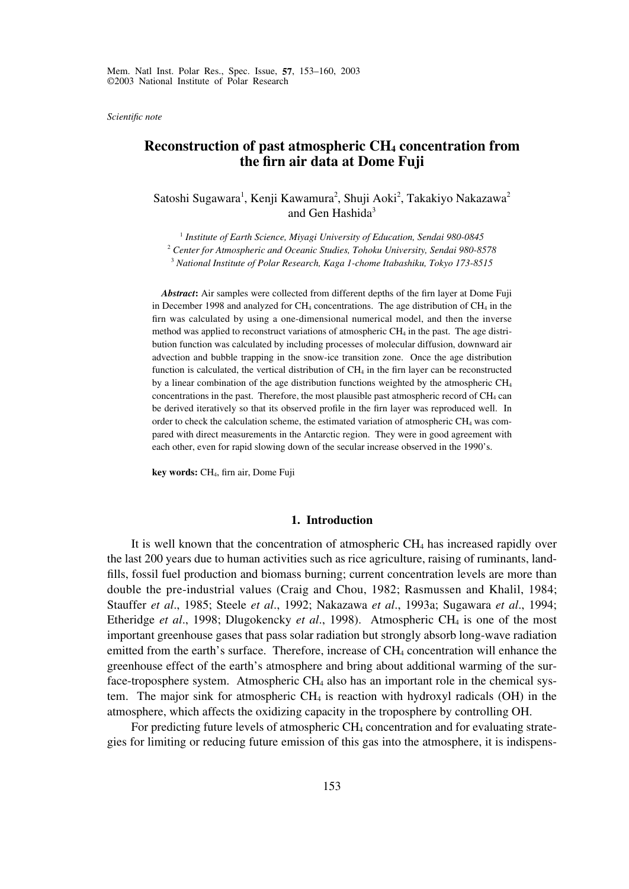*Scientific note*

# **Reconstruction of past atmospheric CH<sub>4</sub> concentration from the firn air data at Dome Fuji**

Satoshi Sugawara<sup>1</sup>, Kenji Kawamura<sup>2</sup>, Shuji Aoki<sup>2</sup>, Takakiyo Nakazawa<sup>2</sup> and Gen Hashida<sup>3</sup>

<sup>1</sup> *Institute of Earth Science, Miyagi University of Education, Sendai 980-0845*

<sup>2</sup> *Center for Atmospheric and Oceanic Studies, Tohoku University, Sendai 980-8578*

<sup>3</sup> *National Institute of Polar Research, Kaga 1-chome Itabashiku, Tokyo 173-8515*

*Abstract***:** Air samples were collected from different depths of the firn layer at Dome Fuji in December 1998 and analyzed for  $CH_4$  concentrations. The age distribution of  $CH_4$  in the firn was calculated by using a one-dimensional numerical model, and then the inverse method was applied to reconstruct variations of atmospheric CH4 in the past. The age distribution function was calculated by including processes of molecular diffusion, downward air advection and bubble trapping in the snow-ice transition zone. Once the age distribution function is calculated, the vertical distribution of  $CH<sub>4</sub>$  in the firn layer can be reconstructed by a linear combination of the age distribution functions weighted by the atmospheric CH4 concentrations in the past. Therefore, the most plausible past atmospheric record of  $CH<sub>4</sub>$  can be derived iteratively so that its observed profile in the firn layer was reproduced well. In order to check the calculation scheme, the estimated variation of atmospheric CH4 was compared with direct measurements in the Antarctic region. They were in good agreement with each other, even for rapid slowing down of the secular increase observed in the 1990's.

**key words:** CH4, firn air, Dome Fuji

### **1. Introduction**

It is well known that the concentration of atmospheric CH4 has increased rapidly over the last 200 years due to human activities such as rice agriculture, raising of ruminants, landfills, fossil fuel production and biomass burning; current concentration levels are more than double the pre-industrial values (Craig and Chou, 1982; Rasmussen and Khalil, 1984; Stauffer *et al*., 1985; Steele *et al*., 1992; Nakazawa *et al*., 1993a; Sugawara *et al*., 1994; Etheridge *et al*., 1998; Dlugokencky *et al*., 1998). Atmospheric CH4 is one of the most important greenhouse gases that pass solar radiation but strongly absorb long-wave radiation emitted from the earth's surface. Therefore, increase of CH<sub>4</sub> concentration will enhance the greenhouse effect of the earth's atmosphere and bring about additional warming of the surface-troposphere system. Atmospheric  $CH<sub>4</sub>$  also has an important role in the chemical system. The major sink for atmospheric  $CH_4$  is reaction with hydroxyl radicals (OH) in the atmosphere, which affects the oxidizing capacity in the troposphere by controlling OH.

For predicting future levels of atmospheric CH4 concentration and for evaluating strategies for limiting or reducing future emission of this gas into the atmosphere, it is indispens-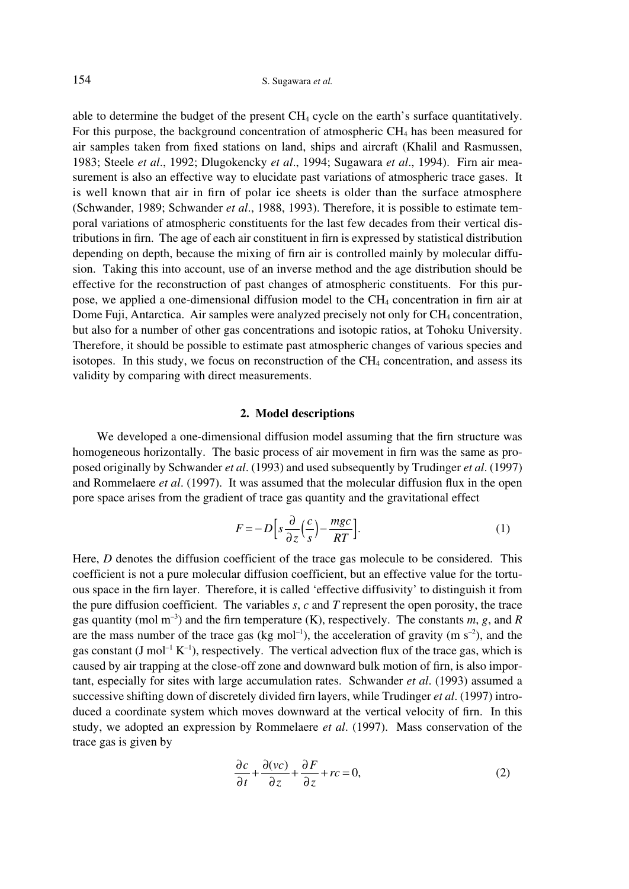able to determine the budget of the present CH4 cycle on the earth's surface quantitatively. For this purpose, the background concentration of atmospheric  $CH<sub>4</sub>$  has been measured for air samples taken from fixed stations on land, ships and aircraft (Khalil and Rasmussen, 1983; Steele *et al*., 1992; Dlugokencky *et al*., 1994; Sugawara *et al*., 1994). Firn air measurement is also an effective way to elucidate past variations of atmospheric trace gases. It is well known that air in firn of polar ice sheets is older than the surface atmosphere (Schwander, 1989; Schwander *et al*., 1988, 1993). Therefore, it is possible to estimate temporal variations of atmospheric constituents for the last few decades from their vertical distributions in firn. The age of each air constituent in firn is expressed by statistical distribution depending on depth, because the mixing of firn air is controlled mainly by molecular diffusion. Taking this into account, use of an inverse method and the age distribution should be effective for the reconstruction of past changes of atmospheric constituents. For this purpose, we applied a one-dimensional diffusion model to the CH4 concentration in firn air at Dome Fuji, Antarctica. Air samples were analyzed precisely not only for CH<sub>4</sub> concentration, but also for a number of other gas concentrations and isotopic ratios, at Tohoku University. Therefore, it should be possible to estimate past atmospheric changes of various species and isotopes. In this study, we focus on reconstruction of the  $CH<sub>4</sub>$  concentration, and assess its validity by comparing with direct measurements.

## **2. Model descriptions**

We developed a one-dimensional diffusion model assuming that the firn structure was homogeneous horizontally. The basic process of air movement in firn was the same as proposed originally by Schwander *et al*. (1993) and used subsequently by Trudinger *et al*. (1997) and Rommelaere *et al*. (1997). It was assumed that the molecular diffusion flux in the open pore space arises from the gradient of trace gas quantity and the gravitational effect

$$
F = -D\left[s\frac{\partial}{\partial z}\left(\frac{c}{s}\right) - \frac{mgc}{RT}\right].
$$
 (1)

Here, *D* denotes the diffusion coefficient of the trace gas molecule to be considered. This coefficient is not a pure molecular diffusion coefficient, but an effective value for the tortuous space in the firn layer. Therefore, it is called 'effective diffusivity' to distinguish it from the pure diffusion coefficient. The variables *s*, *c* and *T* represent the open porosity, the trace gas quantity (mol  $m^{-3}$ ) and the firn temperature (K), respectively. The constants *m*, *g*, and *R* are the mass number of the trace gas (kg mol<sup>-1</sup>), the acceleration of gravity (m  $s^{-2}$ ), and the gas constant (J mol<sup>-1</sup> K<sup>-1</sup>), respectively. The vertical advection flux of the trace gas, which is caused by air trapping at the close-off zone and downward bulk motion of firn, is also important, especially for sites with large accumulation rates. Schwander *et al*. (1993) assumed a successive shifting down of discretely divided firn layers, while Trudinger *et al*. (1997) introduced a coordinate system which moves downward at the vertical velocity of firn. In this study, we adopted an expression by Rommelaere *et al*. (1997). Mass conservation of the trace gas is given by

$$
\frac{\partial c}{\partial t} + \frac{\partial (vc)}{\partial z} + \frac{\partial F}{\partial z} + rc = 0,
$$
 (2)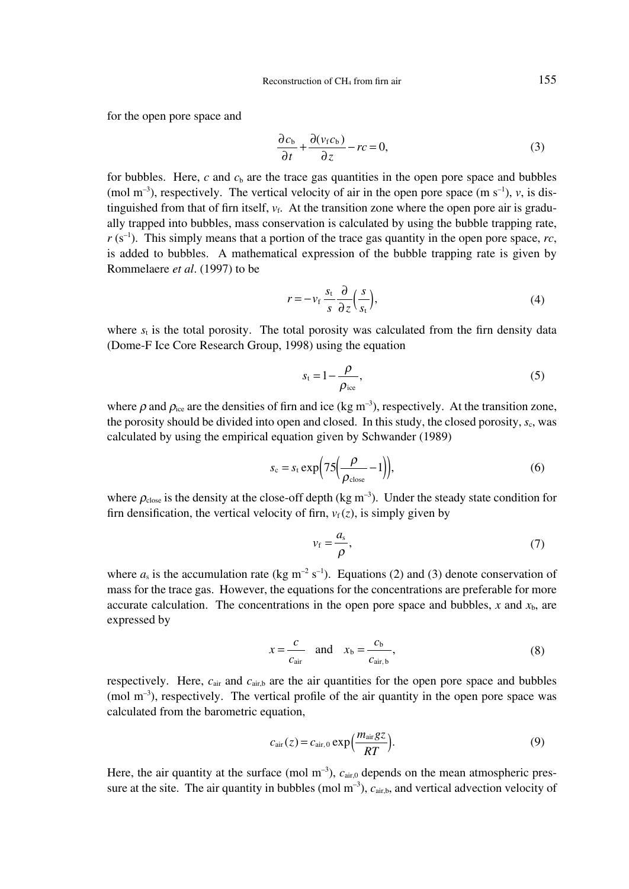for the open pore space and

$$
\frac{\partial c_b}{\partial t} + \frac{\partial (v_f c_b)}{\partial z} - rc = 0,
$$
\n(3)

for bubbles. Here,  $c$  and  $c<sub>b</sub>$  are the trace gas quantities in the open pore space and bubbles (mol  $m^{-3}$ ), respectively. The vertical velocity of air in the open pore space (m  $s^{-1}$ ), *v*, is distinguished from that of firn itself,  $v_f$ . At the transition zone where the open pore air is gradually trapped into bubbles, mass conservation is calculated by using the bubble trapping rate,  $r (s^{-1})$ . This simply means that a portion of the trace gas quantity in the open pore space, *rc*, is added to bubbles. A mathematical expression of the bubble trapping rate is given by Rommelaere *et al*. (1997) to be

$$
r = -v_f \frac{s_t}{s} \frac{\partial}{\partial z} \left( \frac{s}{s_t} \right),\tag{4}
$$

where  $s_t$  is the total porosity. The total porosity was calculated from the firn density data (Dome-F Ice Core Research Group, 1998) using the equation

$$
s_{t} = 1 - \frac{\rho}{\rho_{ice}},\tag{5}
$$

where  $\rho$  and  $\rho_{\text{ice}}$  are the densities of firn and ice (kg m<sup>-3</sup>), respectively. At the transition zone, the porosity should be divided into open and closed. In this study, the closed porosity,  $s<sub>c</sub>$ , was calculated by using the empirical equation given by Schwander (1989)

$$
s_{\rm c} = s_{\rm t} \exp\left(75\left(\frac{\rho}{\rho_{\rm close}} - 1\right)\right),\tag{6}
$$

where  $\rho_{\text{close}}$  is the density at the close-off depth (kg m<sup>-3</sup>). Under the steady state condition for firn densification, the vertical velocity of firn,  $v_f(z)$ , is simply given by

$$
v_{\rm f} = \frac{a_{\rm s}}{\rho},\tag{7}
$$

where  $a_s$  is the accumulation rate (kg m<sup>-2</sup> s<sup>-1</sup>). Equations (2) and (3) denote conservation of mass for the trace gas. However, the equations for the concentrations are preferable for more accurate calculation. The concentrations in the open pore space and bubbles,  $x$  and  $x<sub>b</sub>$ , are expressed by

$$
x = \frac{c}{c_{\text{air}}} \quad \text{and} \quad x_{\text{b}} = \frac{c_{\text{b}}}{c_{\text{air},\text{b}}},\tag{8}
$$

respectively. Here,  $c_{air}$  and  $c_{air,b}$  are the air quantities for the open pore space and bubbles  $\pmod{m^{-3}}$ , respectively. The vertical profile of the air quantity in the open pore space was calculated from the barometric equation,

$$
c_{\text{air}}(z) = c_{\text{air},0} \exp\left(\frac{m_{\text{air}}gz}{RT}\right). \tag{9}
$$

Here, the air quantity at the surface  $(\text{mol m}^{-3})$ ,  $c_{\text{air,0}}$  depends on the mean atmospheric pressure at the site. The air quantity in bubbles (mol  $m^{-3}$ ),  $c_{air,b}$ , and vertical advection velocity of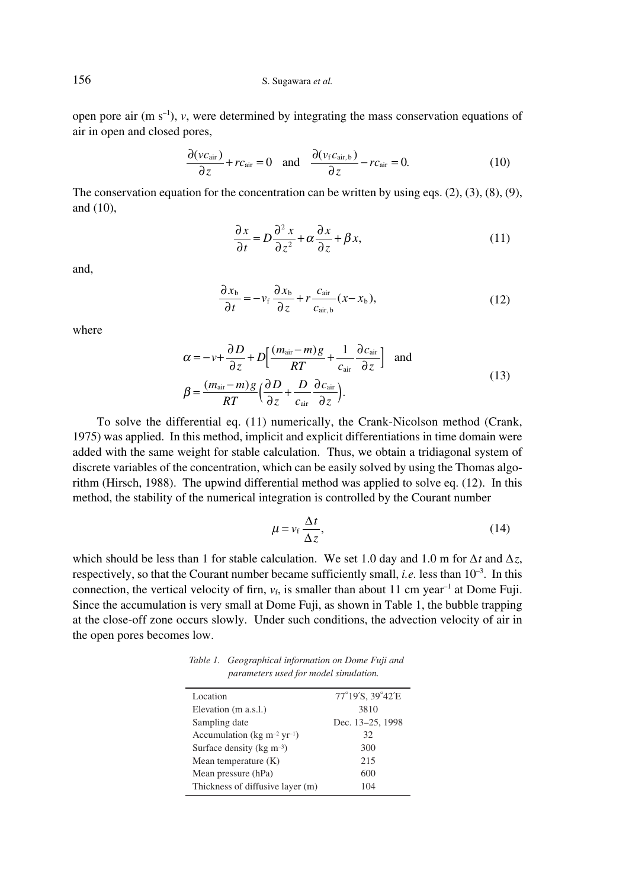156 S. Sugawara *et al.*

open pore air  $(m s<sup>-1</sup>)$ , *v*, were determined by integrating the mass conservation equations of air in open and closed pores,

$$
\frac{\partial (vc_{\text{air}})}{\partial z} + rc_{\text{air}} = 0 \quad \text{and} \quad \frac{\partial (v_f c_{\text{air},b})}{\partial z} - rc_{\text{air}} = 0. \tag{10}
$$

The conservation equation for the concentration can be written by using eqs.  $(2)$ ,  $(3)$ ,  $(8)$ ,  $(9)$ , and (10),

$$
\frac{\partial x}{\partial t} = D \frac{\partial^2 x}{\partial z^2} + \alpha \frac{\partial x}{\partial z} + \beta x,\tag{11}
$$

and,

$$
\frac{\partial x_{\rm b}}{\partial t} = -v_{\rm f} \frac{\partial x_{\rm b}}{\partial z} + r \frac{c_{\rm air}}{c_{\rm air, b}} (x - x_{\rm b}),\tag{12}
$$

where

$$
\alpha = -\nu + \frac{\partial D}{\partial z} + D \Big[ \frac{(m_{\text{air}} - m)g}{RT} + \frac{1}{c_{\text{air}}} \frac{\partial c_{\text{air}}}{\partial z} \Big] \text{ and}
$$
  

$$
\beta = \frac{(m_{\text{air}} - m)g}{RT} \Big( \frac{\partial D}{\partial z} + \frac{D}{c_{\text{air}}} \frac{\partial c_{\text{air}}}{\partial z} \Big).
$$
 (13)

To solve the differential eq. (11) numerically, the Crank-Nicolson method (Crank, 1975) was applied. In this method, implicit and explicit differentiations in time domain were added with the same weight for stable calculation. Thus, we obtain a tridiagonal system of discrete variables of the concentration, which can be easily solved by using the Thomas algorithm (Hirsch, 1988). The upwind differential method was applied to solve eq. (12). In this method, the stability of the numerical integration is controlled by the Courant number

$$
\mu = \nu_f \frac{\Delta t}{\Delta z},\tag{14}
$$

which should be less than 1 for stable calculation. We set 1.0 day and 1.0 m for ∆*t* and ∆*z*, respectively, so that the Courant number became sufficiently small, *i.e.* less than 10<sup>-3</sup>. In this connection, the vertical velocity of firn,  $v_f$ , is smaller than about 11 cm year<sup>-1</sup> at Dome Fuji. Since the accumulation is very small at Dome Fuji, as shown in Table 1, the bubble trapping at the close-off zone occurs slowly. Under such conditions, the advection velocity of air in the open pores becomes low.

*Table 1. Geographical information on Dome Fuji and parameters used for model simulation.*

| Location                                            | 77°19'S, 39°42'E |
|-----------------------------------------------------|------------------|
| Elevation (m a.s.l.)                                | 3810             |
| Sampling date                                       | Dec. 13-25, 1998 |
| Accumulation (kg m <sup>-2</sup> yr <sup>-1</sup> ) | 32               |
| Surface density ( $kg \, \text{m}^{-3}$ )           | 300              |
| Mean temperature $(K)$                              | 215              |
| Mean pressure (hPa)                                 | 600              |
| Thickness of diffusive layer (m)                    | 104              |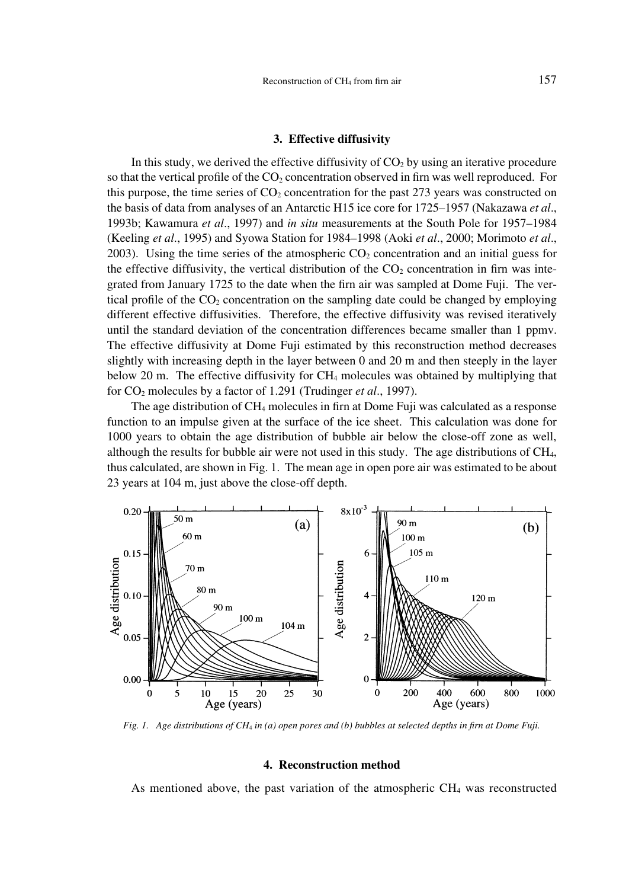#### **3. Effective diffusivity**

In this study, we derived the effective diffusivity of  $CO<sub>2</sub>$  by using an iterative procedure so that the vertical profile of the  $CO<sub>2</sub>$  concentration observed in firn was well reproduced. For this purpose, the time series of  $CO<sub>2</sub>$  concentration for the past 273 years was constructed on the basis of data from analyses of an Antarctic H15 ice core for 1725–1957 (Nakazawa *et al*., 1993b; Kawamura *et al*., 1997) and *in situ* measurements at the South Pole for 1957–1984 (Keeling *et al*., 1995) and Syowa Station for 1984–1998 (Aoki *et al*., 2000; Morimoto *et al*., 2003). Using the time series of the atmospheric  $CO<sub>2</sub>$  concentration and an initial guess for the effective diffusivity, the vertical distribution of the  $CO<sub>2</sub>$  concentration in firn was integrated from January 1725 to the date when the firn air was sampled at Dome Fuji. The vertical profile of the  $CO<sub>2</sub>$  concentration on the sampling date could be changed by employing different effective diffusivities. Therefore, the effective diffusivity was revised iteratively until the standard deviation of the concentration differences became smaller than 1 ppmv. The effective diffusivity at Dome Fuji estimated by this reconstruction method decreases slightly with increasing depth in the layer between 0 and 20 m and then steeply in the layer below 20 m. The effective diffusivity for CH4 molecules was obtained by multiplying that for CO<sub>2</sub> molecules by a factor of 1.291 (Trudinger *et al.*, 1997).

The age distribution of  $CH_4$  molecules in firn at Dome Fuji was calculated as a response function to an impulse given at the surface of the ice sheet. This calculation was done for 1000 years to obtain the age distribution of bubble air below the close-off zone as well, although the results for bubble air were not used in this study. The age distributions of CH4, thus calculated, are shown in Fig. 1. The mean age in open pore air was estimated to be about 23 years at 104 m, just above the close-off depth.



*Fig. 1. Age distributions of CH*<sup>4</sup> *in (a) open pores and (b) bubbles at selected depths in firn at Dome Fuji.*

### **4. Reconstruction method**

As mentioned above, the past variation of the atmospheric  $CH<sub>4</sub>$  was reconstructed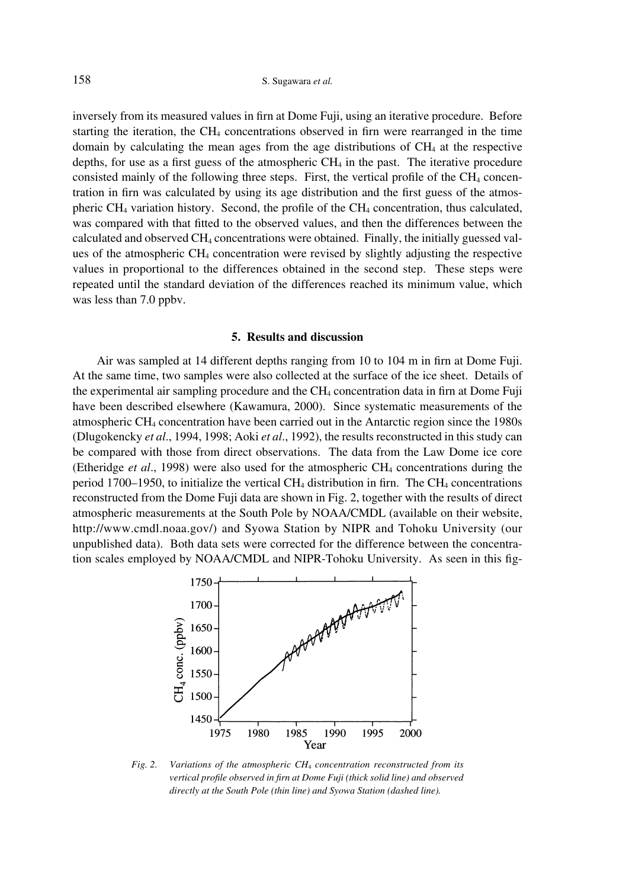inversely from its measured values in firn at Dome Fuji, using an iterative procedure. Before starting the iteration, the  $CH_4$  concentrations observed in firn were rearranged in the time domain by calculating the mean ages from the age distributions of  $CH<sub>4</sub>$  at the respective depths, for use as a first guess of the atmospheric  $CH_4$  in the past. The iterative procedure consisted mainly of the following three steps. First, the vertical profile of the  $CH<sub>4</sub>$  concentration in firn was calculated by using its age distribution and the first guess of the atmospheric CH4 variation history. Second, the profile of the CH4 concentration, thus calculated, was compared with that fitted to the observed values, and then the differences between the calculated and observed CH4 concentrations were obtained. Finally, the initially guessed values of the atmospheric CH4 concentration were revised by slightly adjusting the respective values in proportional to the differences obtained in the second step. These steps were repeated until the standard deviation of the differences reached its minimum value, which was less than 7.0 ppbv.

#### **5. Results and discussion**

Air was sampled at 14 different depths ranging from 10 to 104 m in firn at Dome Fuji. At the same time, two samples were also collected at the surface of the ice sheet. Details of the experimental air sampling procedure and the  $CH<sub>4</sub>$  concentration data in firn at Dome Fuji have been described elsewhere (Kawamura, 2000). Since systematic measurements of the atmospheric CH4 concentration have been carried out in the Antarctic region since the 1980s (Dlugokencky *et al*., 1994, 1998; Aoki *et al*., 1992), the results reconstructed in this study can be compared with those from direct observations. The data from the Law Dome ice core (Etheridge *et al*., 1998) were also used for the atmospheric CH4 concentrations during the period 1700–1950, to initialize the vertical  $CH_4$  distribution in firn. The  $CH_4$  concentrations reconstructed from the Dome Fuji data are shown in Fig. 2, together with the results of direct atmospheric measurements at the South Pole by NOAA/CMDL (available on their website, http://www.cmdl.noaa.gov/) and Syowa Station by NIPR and Tohoku University (our unpublished data). Both data sets were corrected for the difference between the concentration scales employed by NOAA/CMDL and NIPR-Tohoku University. As seen in this fig-



*Fig. 2. Variations of the atmospheric CH*<sup>4</sup> *concentration reconstructed from its vertical profile observed in firn at Dome Fuji (thick solid line) and observed directly at the South Pole (thin line) and Syowa Station (dashed line).*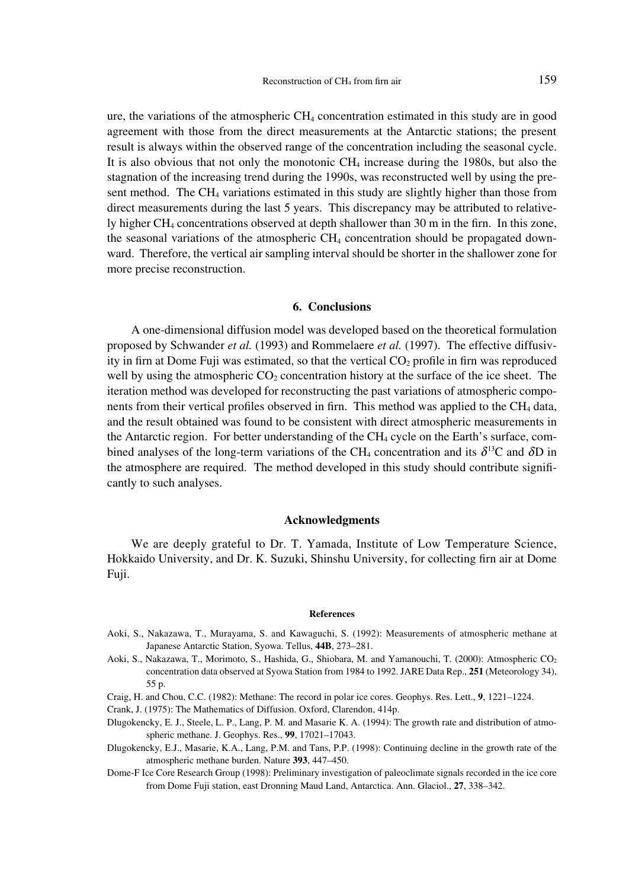ure, the variations of the atmospheric CH4 concentration estimated in this study are in good agreement with those from the direct measurements at the Antarctic stations; the present result is always within the observed range of the concentration including the seasonal cycle. It is also obvious that not only the monotonic  $CH<sub>4</sub>$  increase during the 1980s, but also the stagnation of the increasing trend during the 1990s, was reconstructed well by using the present method. The CH4 variations estimated in this study are slightly higher than those from direct measurements during the last 5 years. This discrepancy may be attributed to relatively higher CH4 concentrations observed at depth shallower than 30 m in the firn. In this zone, the seasonal variations of the atmospheric CH4 concentration should be propagated downward. Therefore, the vertical air sampling interval should be shorter in the shallower zone for more precise reconstruction.

#### **6. Conclusions**

A one-dimensional diffusion model was developed based on the theoretical formulation proposed by Schwander *et al.* (1993) and Rommelaere *et al.* (1997). The effective diffusivity in firn at Dome Fuji was estimated, so that the vertical  $CO<sub>2</sub>$  profile in firn was reproduced well by using the atmospheric  $CO<sub>2</sub>$  concentration history at the surface of the ice sheet. The iteration method was developed for reconstructing the past variations of atmospheric components from their vertical profiles observed in firn. This method was applied to the  $CH<sub>4</sub>$  data, and the result obtained was found to be consistent with direct atmospheric measurements in the Antarctic region. For better understanding of the  $CH<sub>4</sub>$  cycle on the Earth's surface, combined analyses of the long-term variations of the CH<sub>4</sub> concentration and its  $\delta^{13}$ C and  $\delta$ D in the atmosphere are required. The method developed in this study should contribute significantly to such analyses.

#### **Acknowledgments**

We are deeply grateful to Dr. T. Yamada, Institute of Low Temperature Science, Hokkaido University, and Dr. K. Suzuki, Shinshu University, for collecting firn air at Dome Fuji.

#### **References**

- Aoki, S., Nakazawa, T., Murayama, S. and Kawaguchi, S. (1992): Measurements of atmospheric methane at Japanese Antarctic Station, Syowa. Tellus, **44B**, 273–281.
- Aoki, S., Nakazawa, T., Morimoto, S., Hashida, G., Shiobara, M. and Yamanouchi, T. (2000): Atmospheric CO<sub>2</sub> concentration data observed at Syowa Station from 1984 to 1992. JARE Data Rep., **251** (Meteorology 34), 55 p.
- Craig, H. and Chou, C.C. (1982): Methane: The record in polar ice cores. Geophys. Res. Lett., **9**, 1221–1224.
- Crank, J. (1975): The Mathematics of Diffusion. Oxford, Clarendon, 414p.
- Dlugokencky, E. J., Steele, L. P., Lang, P. M. and Masarie K. A. (1994): The growth rate and distribution of atmospheric methane. J. Geophys. Res., **99**, 17021–17043.
- Dlugokencky, E.J., Masarie, K.A., Lang, P.M. and Tans, P.P. (1998): Continuing decline in the growth rate of the atmospheric methane burden. Nature **393**, 447–450.
- Dome-F Ice Core Research Group (1998): Preliminary investigation of paleoclimate signals recorded in the ice core from Dome Fuji station, east Dronning Maud Land, Antarctica. Ann. Glaciol., **27**, 338–342.